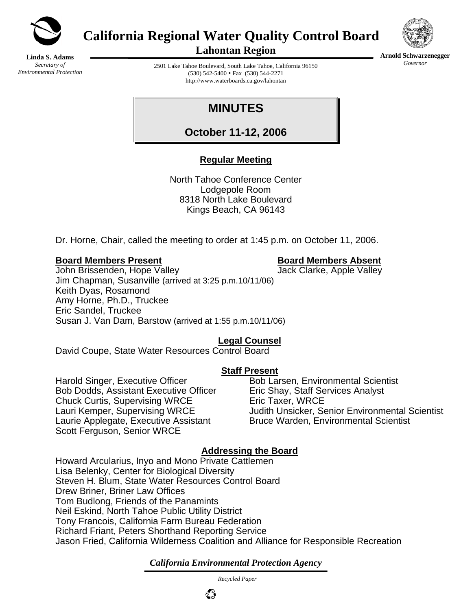

**California Regional Water Quality Control Board** 



**Arnold Schwarzenegger** *Governor* 

**Linda S. Adams**  *Secretary of Environmental Protection*  **Lahontan Region** 

2501 Lake Tahoe Boulevard, South Lake Tahoe, California 96150  $(530)$  542-5400 • Fax  $(530)$  544-2271 http://www.waterboards.ca.gov/lahontan

# **MINUTES**

**October 11-12, 2006**

## **Regular Meeting**

North Tahoe Conference Center Lodgepole Room 8318 North Lake Boulevard Kings Beach, CA 96143

Dr. Horne, Chair, called the meeting to order at 1:45 p.m. on October 11, 2006.

#### **Board Members Present Board Members Absent**

John Brissenden, Hope Valley **Jack Clarke, Apple Valley** Jack Clarke, Apple Valley Jim Chapman, Susanville (arrived at 3:25 p.m.10/11/06) Keith Dyas, Rosamond Amy Horne, Ph.D., Truckee Eric Sandel, Truckee Susan J. Van Dam, Barstow (arrived at 1:55 p.m.10/11/06)

## **Legal Counsel**

David Coupe, State Water Resources Control Board

## **Staff Present**

Harold Singer, Executive Officer Bob Larsen, Environmental Scientist Bob Dodds, Assistant Executive Officer Eric Shay, Staff Services Analyst Chuck Curtis, Supervising WRCE Eric Taxer, WRCE Laurie Applegate, Executive Assistant Bruce Warden, Environmental Scientist Scott Ferguson, Senior WRCE

Lauri Kemper, Supervising WRCE Judith Unsicker, Senior Environmental Scientist

## **Addressing the Board**

Howard Arcularius, Inyo and Mono Private Cattlemen Lisa Belenky, Center for Biological Diversity Steven H. Blum, State Water Resources Control Board Drew Briner, Briner Law Offices Tom Budlong, Friends of the Panamints Neil Eskind, North Tahoe Public Utility District Tony Francois, California Farm Bureau Federation Richard Friant, Peters Shorthand Reporting Service Jason Fried, California Wilderness Coalition and Alliance for Responsible Recreation

## *California Environmental Protection Agency*

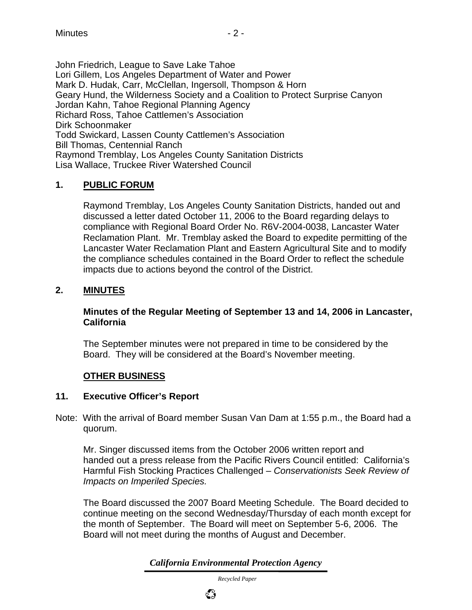John Friedrich, League to Save Lake Tahoe Lori Gillem, Los Angeles Department of Water and Power Mark D. Hudak, Carr, McClellan, Ingersoll, Thompson & Horn Geary Hund, the Wilderness Society and a Coalition to Protect Surprise Canyon Jordan Kahn, Tahoe Regional Planning Agency Richard Ross, Tahoe Cattlemen's Association Dirk Schoonmaker Todd Swickard, Lassen County Cattlemen's Association Bill Thomas, Centennial Ranch Raymond Tremblay, Los Angeles County Sanitation Districts Lisa Wallace, Truckee River Watershed Council

#### **1. PUBLIC FORUM**

Raymond Tremblay, Los Angeles County Sanitation Districts, handed out and discussed a letter dated October 11, 2006 to the Board regarding delays to compliance with Regional Board Order No. R6V-2004-0038, Lancaster Water Reclamation Plant. Mr. Tremblay asked the Board to expedite permitting of the Lancaster Water Reclamation Plant and Eastern Agricultural Site and to modify the compliance schedules contained in the Board Order to reflect the schedule impacts due to actions beyond the control of the District.

#### **2. MINUTES**

#### **Minutes of the Regular Meeting of September 13 and 14, 2006 in Lancaster, California**

The September minutes were not prepared in time to be considered by the Board. They will be considered at the Board's November meeting.

#### **OTHER BUSINESS**

#### **11. Executive Officer's Report**

Note: With the arrival of Board member Susan Van Dam at 1:55 p.m., the Board had a quorum.

Mr. Singer discussed items from the October 2006 written report and handed out a press release from the Pacific Rivers Council entitled: California's Harmful Fish Stocking Practices Challenged – *Conservationists Seek Review of Impacts on Imperiled Species.*

The Board discussed the 2007 Board Meeting Schedule. The Board decided to continue meeting on the second Wednesday/Thursday of each month except for the month of September. The Board will meet on September 5-6, 2006. The Board will not meet during the months of August and December.

*California Environmental Protection Agency*

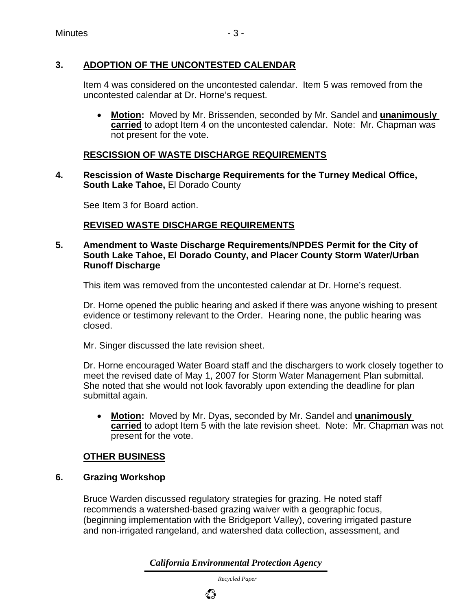## **3. ADOPTION OF THE UNCONTESTED CALENDAR**

Item 4 was considered on the uncontested calendar. Item 5 was removed from the uncontested calendar at Dr. Horne's request.

• **Motion:** Moved by Mr. Brissenden, seconded by Mr. Sandel and **unanimously carried** to adopt Item 4 on the uncontested calendar. Note: Mr. Chapman was not present for the vote.

### **RESCISSION OF WASTE DISCHARGE REQUIREMENTS**

**4. Rescission of Waste Discharge Requirements for the Turney Medical Office, South Lake Tahoe,** El Dorado County

See Item 3 for Board action.

#### **REVISED WASTE DISCHARGE REQUIREMENTS**

#### **5. Amendment to Waste Discharge Requirements/NPDES Permit for the City of South Lake Tahoe, El Dorado County, and Placer County Storm Water/Urban Runoff Discharge**

This item was removed from the uncontested calendar at Dr. Horne's request.

Dr. Horne opened the public hearing and asked if there was anyone wishing to present evidence or testimony relevant to the Order. Hearing none, the public hearing was closed.

Mr. Singer discussed the late revision sheet.

Dr. Horne encouraged Water Board staff and the dischargers to work closely together to meet the revised date of May 1, 2007 for Storm Water Management Plan submittal. She noted that she would not look favorably upon extending the deadline for plan submittal again.

• **Motion:** Moved by Mr. Dyas, seconded by Mr. Sandel and **unanimously carried** to adopt Item 5 with the late revision sheet. Note: Mr. Chapman was not present for the vote.

#### **OTHER BUSINESS**

#### **6. Grazing Workshop**

Bruce Warden discussed regulatory strategies for grazing. He noted staff recommends a watershed-based grazing waiver with a geographic focus, (beginning implementation with the Bridgeport Valley), covering irrigated pasture and non-irrigated rangeland, and watershed data collection, assessment, and

*California Environmental Protection Agency*

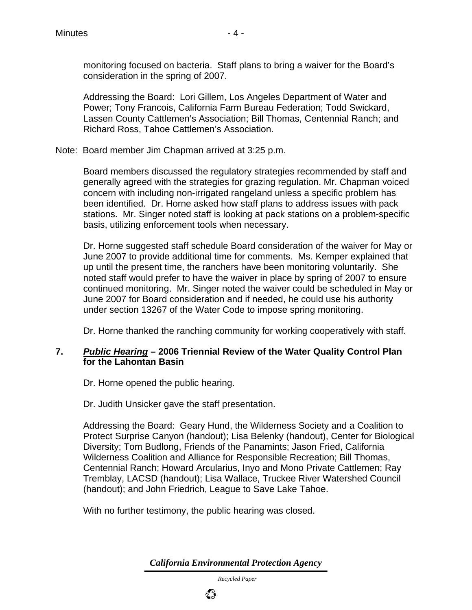monitoring focused on bacteria. Staff plans to bring a waiver for the Board's consideration in the spring of 2007.

Addressing the Board: Lori Gillem, Los Angeles Department of Water and Power; Tony Francois, California Farm Bureau Federation; Todd Swickard, Lassen County Cattlemen's Association; Bill Thomas, Centennial Ranch; and Richard Ross, Tahoe Cattlemen's Association.

Note: Board member Jim Chapman arrived at 3:25 p.m.

Board members discussed the regulatory strategies recommended by staff and generally agreed with the strategies for grazing regulation. Mr. Chapman voiced concern with including non-irrigated rangeland unless a specific problem has been identified. Dr. Horne asked how staff plans to address issues with pack stations. Mr. Singer noted staff is looking at pack stations on a problem-specific basis, utilizing enforcement tools when necessary.

Dr. Horne suggested staff schedule Board consideration of the waiver for May or June 2007 to provide additional time for comments. Ms. Kemper explained that up until the present time, the ranchers have been monitoring voluntarily. She noted staff would prefer to have the waiver in place by spring of 2007 to ensure continued monitoring. Mr. Singer noted the waiver could be scheduled in May or June 2007 for Board consideration and if needed, he could use his authority under section 13267 of the Water Code to impose spring monitoring.

Dr. Horne thanked the ranching community for working cooperatively with staff.

#### **7.** *Public Hearing* **– 2006 Triennial Review of the Water Quality Control Plan for the Lahontan Basin**

Dr. Horne opened the public hearing.

Dr. Judith Unsicker gave the staff presentation.

Addressing the Board: Geary Hund, the Wilderness Society and a Coalition to Protect Surprise Canyon (handout); Lisa Belenky (handout), Center for Biological Diversity; Tom Budlong, Friends of the Panamints; Jason Fried, California Wilderness Coalition and Alliance for Responsible Recreation; Bill Thomas, Centennial Ranch; Howard Arcularius, Inyo and Mono Private Cattlemen; Ray Tremblay, LACSD (handout); Lisa Wallace, Truckee River Watershed Council (handout); and John Friedrich, League to Save Lake Tahoe.

With no further testimony, the public hearing was closed.

*California Environmental Protection Agency*

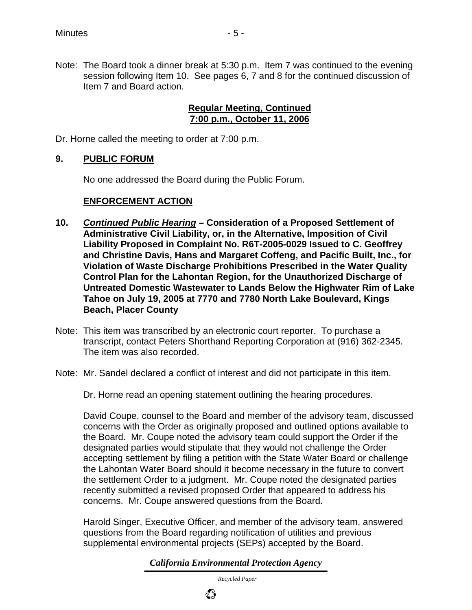Note: The Board took a dinner break at 5:30 p.m. Item 7 was continued to the evening session following Item 10. See pages 6, 7 and 8 for the continued discussion of Item 7 and Board action.

#### **Regular Meeting, Continued 7:00 p.m., October 11, 2006**

Dr. Horne called the meeting to order at 7:00 p.m.

#### **9. PUBLIC FORUM**

No one addressed the Board during the Public Forum.

#### **ENFORCEMENT ACTION**

- **10.** *Continued Public Hearing* **Consideration of a Proposed Settlement of Administrative Civil Liability, or, in the Alternative, Imposition of Civil Liability Proposed in Complaint No. R6T-2005-0029 Issued to C. Geoffrey and Christine Davis, Hans and Margaret Coffeng, and Pacific Built, Inc., for Violation of Waste Discharge Prohibitions Prescribed in the Water Quality Control Plan for the Lahontan Region, for the Unauthorized Discharge of Untreated Domestic Wastewater to Lands Below the Highwater Rim of Lake Tahoe on July 19, 2005 at 7770 and 7780 North Lake Boulevard, Kings Beach, Placer County**
- Note: This item was transcribed by an electronic court reporter. To purchase a transcript, contact Peters Shorthand Reporting Corporation at (916) 362-2345. The item was also recorded.
- Note: Mr. Sandel declared a conflict of interest and did not participate in this item.
	- Dr. Horne read an opening statement outlining the hearing procedures.

David Coupe, counsel to the Board and member of the advisory team, discussed concerns with the Order as originally proposed and outlined options available to the Board. Mr. Coupe noted the advisory team could support the Order if the designated parties would stipulate that they would not challenge the Order accepting settlement by filing a petition with the State Water Board or challenge the Lahontan Water Board should it become necessary in the future to convert the settlement Order to a judgment. Mr. Coupe noted the designated parties recently submitted a revised proposed Order that appeared to address his concerns. Mr. Coupe answered questions from the Board.

Harold Singer, Executive Officer, and member of the advisory team, answered questions from the Board regarding notification of utilities and previous supplemental environmental projects (SEPs) accepted by the Board.

*California Environmental Protection Agency*

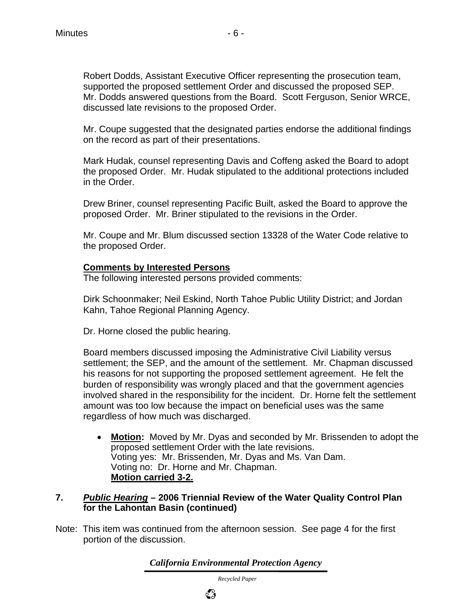Mr. Coupe suggested that the designated parties endorse the additional findings on the record as part of their presentations.

Mark Hudak, counsel representing Davis and Coffeng asked the Board to adopt the proposed Order. Mr. Hudak stipulated to the additional protections included in the Order.

Drew Briner, counsel representing Pacific Built, asked the Board to approve the proposed Order. Mr. Briner stipulated to the revisions in the Order.

Mr. Coupe and Mr. Blum discussed section 13328 of the Water Code relative to the proposed Order.

#### **Comments by Interested Persons**

The following interested persons provided comments:

Dirk Schoonmaker; Neil Eskind, North Tahoe Public Utility District; and Jordan Kahn, Tahoe Regional Planning Agency.

Dr. Horne closed the public hearing.

Board members discussed imposing the Administrative Civil Liability versus settlement; the SEP, and the amount of the settlement. Mr. Chapman discussed his reasons for not supporting the proposed settlement agreement. He felt the burden of responsibility was wrongly placed and that the government agencies involved shared in the responsibility for the incident. Dr. Horne felt the settlement amount was too low because the impact on beneficial uses was the same regardless of how much was discharged.

• **Motion:** Moved by Mr. Dyas and seconded by Mr. Brissenden to adopt the proposed settlement Order with the late revisions. Voting yes: Mr. Brissenden, Mr. Dyas and Ms. Van Dam. Voting no: Dr. Horne and Mr. Chapman. **Motion carried 3-2.**

#### **7.** *Public Hearing* **– 2006 Triennial Review of the Water Quality Control Plan for the Lahontan Basin (continued)**

Note: This item was continued from the afternoon session. See page 4 for the first portion of the discussion.

*California Environmental Protection Agency*

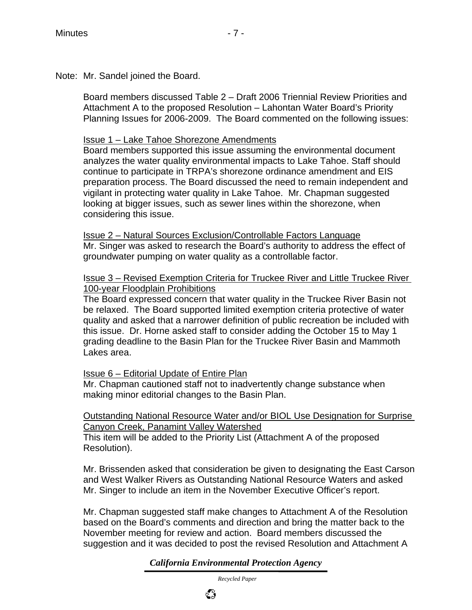Note: Mr. Sandel joined the Board.

Board members discussed Table 2 – Draft 2006 Triennial Review Priorities and Attachment A to the proposed Resolution – Lahontan Water Board's Priority Planning Issues for 2006-2009. The Board commented on the following issues:

#### Issue 1 – Lake Tahoe Shorezone Amendments

Board members supported this issue assuming the environmental document analyzes the water quality environmental impacts to Lake Tahoe. Staff should continue to participate in TRPA's shorezone ordinance amendment and EIS preparation process. The Board discussed the need to remain independent and vigilant in protecting water quality in Lake Tahoe. Mr. Chapman suggested looking at bigger issues, such as sewer lines within the shorezone, when considering this issue.

Issue 2 – Natural Sources Exclusion/Controllable Factors Language Mr. Singer was asked to research the Board's authority to address the effect of groundwater pumping on water quality as a controllable factor.

#### Issue 3 – Revised Exemption Criteria for Truckee River and Little Truckee River 100-year Floodplain Prohibitions

The Board expressed concern that water quality in the Truckee River Basin not be relaxed. The Board supported limited exemption criteria protective of water quality and asked that a narrower definition of public recreation be included with this issue. Dr. Horne asked staff to consider adding the October 15 to May 1 grading deadline to the Basin Plan for the Truckee River Basin and Mammoth Lakes area.

#### Issue 6 – Editorial Update of Entire Plan

Mr. Chapman cautioned staff not to inadvertently change substance when making minor editorial changes to the Basin Plan.

#### Outstanding National Resource Water and/or BIOL Use Designation for Surprise Canyon Creek, Panamint Valley Watershed

This item will be added to the Priority List (Attachment A of the proposed Resolution).

Mr. Brissenden asked that consideration be given to designating the East Carson and West Walker Rivers as Outstanding National Resource Waters and asked Mr. Singer to include an item in the November Executive Officer's report.

Mr. Chapman suggested staff make changes to Attachment A of the Resolution based on the Board's comments and direction and bring the matter back to the November meeting for review and action. Board members discussed the suggestion and it was decided to post the revised Resolution and Attachment A

*California Environmental Protection Agency*